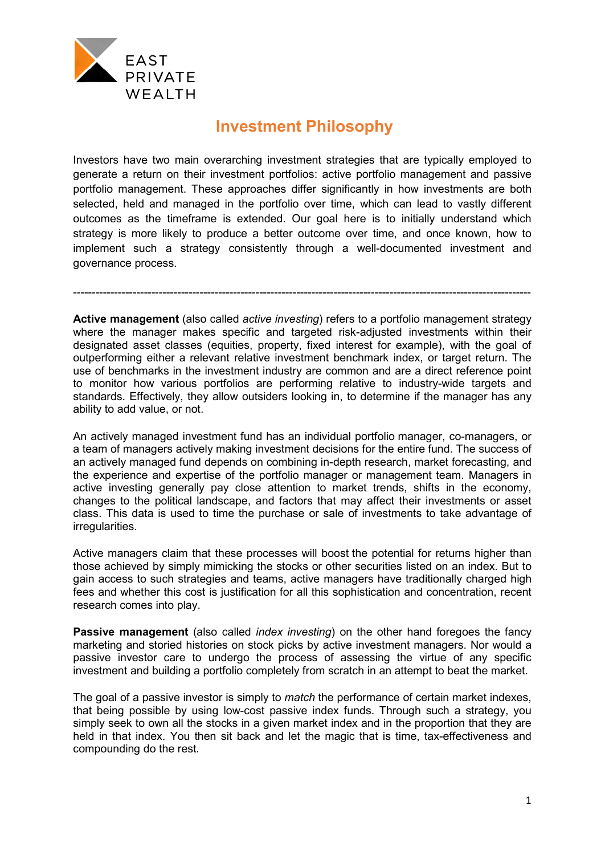

## **Investment Philosophy**

Investors have two main overarching investment strategies that are typically employed to generate a return on their investment portfolios: active portfolio management and passive portfolio management. These approaches differ significantly in how investments are both selected, held and managed in the portfolio over time, which can lead to vastly different outcomes as the timeframe is extended. Our goal here is to initially understand which strategy is more likely to produce a better outcome over time, and once known, how to implement such a strategy consistently through a well-documented investment and governance process.

**Active management** (also called *active investing*) refers to a portfolio management strategy where the manager makes specific and targeted risk-adjusted investments within their designated asset classes (equities, property, fixed interest for example), with the goal of outperforming either a relevant relative investment benchmark index, or target return. The use of benchmarks in the investment industry are common and are a direct reference point to monitor how various portfolios are performing relative to industry-wide targets and standards. Effectively, they allow outsiders looking in, to determine if the manager has any ability to add value, or not.

---------------------------------------------------------------------------------------------------------------------------

An actively managed investment fund has an individual portfolio manager, co-managers, or a team of managers actively making investment decisions for the entire fund. The success of an actively managed fund depends on combining in-depth research, market forecasting, and the experience and expertise of the portfolio manager or management team. Managers in active investing generally pay close attention to market trends, shifts in the economy, changes to the political landscape, and factors that may affect their investments or asset class. This data is used to time the purchase or sale of investments to take advantage of irregularities.

Active managers claim that these processes will boost the potential for returns higher than those achieved by simply mimicking the stocks or other securities listed on an index. But to gain access to such strategies and teams, active managers have traditionally charged high fees and whether this cost is justification for all this sophistication and concentration, recent research comes into play.

**Passive management** (also called *index investing*) on the other hand foregoes the fancy marketing and storied histories on stock picks by active investment managers. Nor would a passive investor care to undergo the process of assessing the virtue of any specific investment and building a portfolio completely from scratch in an attempt to beat the market.

The goal of a passive investor is simply to *match* the performance of certain market indexes, that being possible by using low-cost passive index funds. Through such a strategy, you simply seek to own all the stocks in a given market index and in the proportion that they are held in that index. You then sit back and let the magic that is time, tax-effectiveness and compounding do the rest.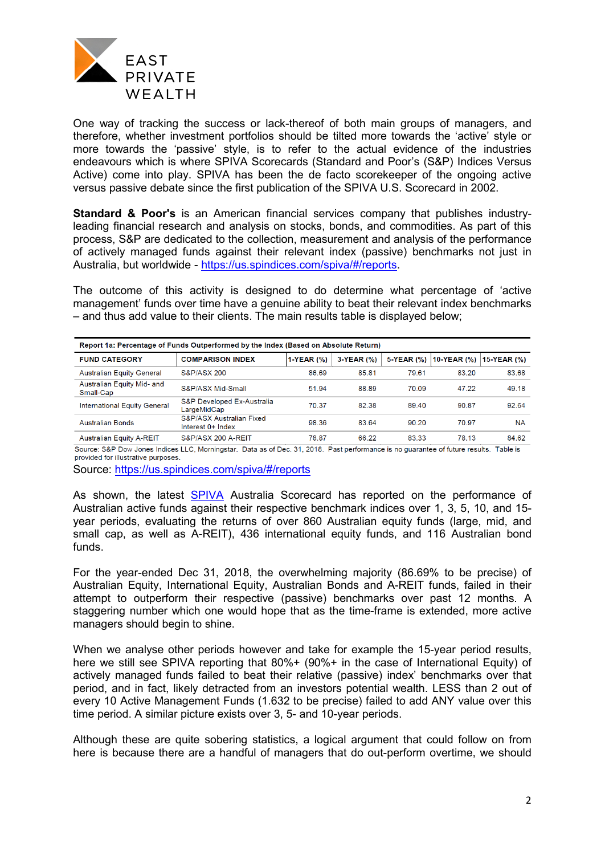

One way of tracking the success or lack-thereof of both main groups of managers, and therefore, whether investment portfolios should be tilted more towards the 'active' style or more towards the 'passive' style, is to refer to the actual evidence of the industries endeavours which is where SPIVA Scorecards (Standard and Poor's (S&P) Indices Versus Active) come into play. SPIVA has been the de facto scorekeeper of the ongoing active versus passive debate since the first publication of the SPIVA U.S. Scorecard in 2002.

**Standard & Poor's** is an American financial services company that publishes industryleading financial research and analysis on stocks, bonds, and commodities. As part of this process, S&P are dedicated to the collection, measurement and analysis of the performance of actively managed funds against their relevant index (passive) benchmarks not just in Australia, but worldwide - [https://us.spindices.com/spiva/#/reports.](https://us.spindices.com/spiva/#/reports)

The outcome of this activity is designed to do determine what percentage of 'active management' funds over time have a genuine ability to beat their relevant index benchmarks – and thus add value to their clients. The main results table is displayed below;

| Report 1a: Percentage of Funds Outperformed by the Index (Based on Absolute Return) |                                                            |            |            |            |             |             |  |  |  |
|-------------------------------------------------------------------------------------|------------------------------------------------------------|------------|------------|------------|-------------|-------------|--|--|--|
| <b>FUND CATEGORY</b>                                                                | <b>COMPARISON INDEX</b>                                    | 1-YEAR (%) | 3-YEAR (%) | 5-YEAR (%) | 10-YEAR (%) | 15-YEAR (%) |  |  |  |
| <b>Australian Equity General</b>                                                    | <b>S&amp;P/ASX 200</b>                                     | 86.69      | 85.81      | 79.61      | 83.20       | 83.68       |  |  |  |
| Australian Equity Mid- and<br>Small-Cap                                             | S&P/ASX Mid-Small                                          | 51.94      | 88.89      | 70.09      | 47.22       | 49.18       |  |  |  |
| <b>International Equity General</b>                                                 | S&P Developed Ex-Australia<br>LargeMidCap                  | 70.37      | 82.38      | 89.40      | 90.87       | 92.64       |  |  |  |
| <b>Australian Bonds</b>                                                             | <b>S&amp;P/ASX Australian Fixed</b><br>Interest $0+$ Index | 98.36      | 83.64      | 90.20      | 70.97       | <b>NA</b>   |  |  |  |
| <b>Australian Equity A-REIT</b>                                                     | S&P/ASX 200 A-REIT                                         | 78.87      | 66.22      | 83.33      | 78.13       | 84.62       |  |  |  |

Source: S&P Dow Jones Indices LLC, Morningstar. Data as of Dec. 31, 2018. Past performance is no guarantee of future results. Table is provided for illustrative purposes.

Source:<https://us.spindices.com/spiva/#/reports>

As shown, the latest [SPIVA](https://us.spindices.com/spiva/#/reports) Australia Scorecard has reported on the performance of Australian active funds against their respective benchmark indices over 1, 3, 5, 10, and 15 year periods, evaluating the returns of over 860 Australian equity funds (large, mid, and small cap, as well as A-REIT), 436 international equity funds, and 116 Australian bond funds.

For the year-ended Dec 31, 2018, the overwhelming majority (86.69% to be precise) of Australian Equity, International Equity, Australian Bonds and A-REIT funds, failed in their attempt to outperform their respective (passive) benchmarks over past 12 months. A staggering number which one would hope that as the time-frame is extended, more active managers should begin to shine.

When we analyse other periods however and take for example the 15-year period results, here we still see SPIVA reporting that 80%+ (90%+ in the case of International Equity) of actively managed funds failed to beat their relative (passive) index' benchmarks over that period, and in fact, likely detracted from an investors potential wealth. LESS than 2 out of every 10 Active Management Funds (1.632 to be precise) failed to add ANY value over this time period. A similar picture exists over 3, 5- and 10-year periods.

Although these are quite sobering statistics, a logical argument that could follow on from here is because there are a handful of managers that do out-perform overtime, we should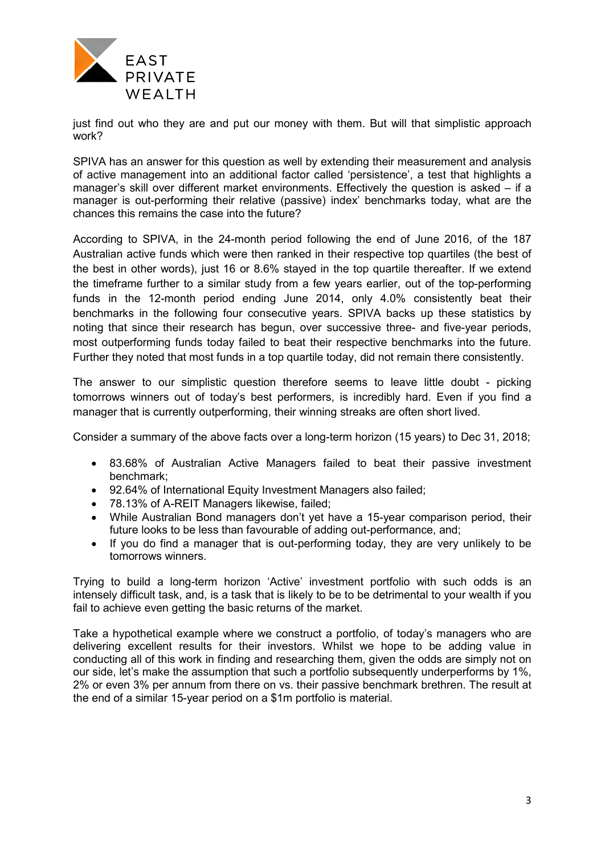

just find out who they are and put our money with them. But will that simplistic approach work?

SPIVA has an answer for this question as well by extending their measurement and analysis of active management into an additional factor called 'persistence', a test that highlights a manager's skill over different market environments. Effectively the question is asked – if a manager is out-performing their relative (passive) index' benchmarks today, what are the chances this remains the case into the future?

According to SPIVA, in the 24-month period following the end of June 2016, of the 187 Australian active funds which were then ranked in their respective top quartiles (the best of the best in other words), just 16 or 8.6% stayed in the top quartile thereafter. If we extend the timeframe further to a similar study from a few years earlier, out of the top-performing funds in the 12-month period ending June 2014, only 4.0% consistently beat their benchmarks in the following four consecutive years. SPIVA backs up these statistics by noting that since their research has begun, over successive three- and five-year periods, most outperforming funds today failed to beat their respective benchmarks into the future. Further they noted that most funds in a top quartile today, did not remain there consistently.

The answer to our simplistic question therefore seems to leave little doubt - picking tomorrows winners out of today's best performers, is incredibly hard. Even if you find a manager that is currently outperforming, their winning streaks are often short lived.

Consider a summary of the above facts over a long-term horizon (15 years) to Dec 31, 2018;

- 83.68% of Australian Active Managers failed to beat their passive investment benchmark;
- 92.64% of International Equity Investment Managers also failed;
- 78.13% of A-REIT Managers likewise, failed;
- While Australian Bond managers don't yet have a 15-year comparison period, their future looks to be less than favourable of adding out-performance, and;
- If you do find a manager that is out-performing today, they are very unlikely to be tomorrows winners.

Trying to build a long-term horizon 'Active' investment portfolio with such odds is an intensely difficult task, and, is a task that is likely to be to be detrimental to your wealth if you fail to achieve even getting the basic returns of the market.

Take a hypothetical example where we construct a portfolio, of today's managers who are delivering excellent results for their investors. Whilst we hope to be adding value in conducting all of this work in finding and researching them, given the odds are simply not on our side, let's make the assumption that such a portfolio subsequently underperforms by 1%, 2% or even 3% per annum from there on vs. their passive benchmark brethren. The result at the end of a similar 15-year period on a \$1m portfolio is material.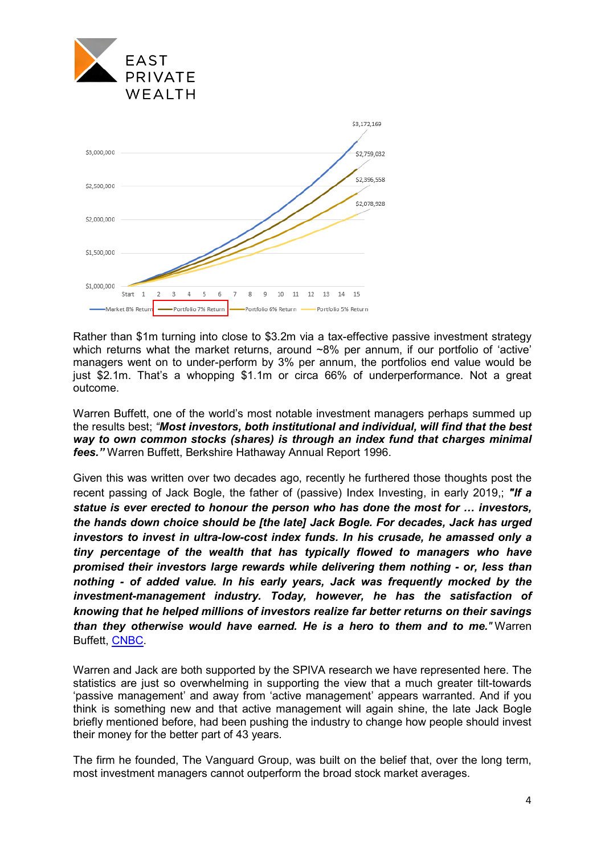



Rather than \$1m turning into close to \$3.2m via a tax-effective passive investment strategy which returns what the market returns, around ~8% per annum, if our portfolio of 'active' managers went on to under-perform by 3% per annum, the portfolios end value would be just \$2.1m. That's a whopping \$1.1m or circa 66% of underperformance. Not a great outcome.

Warren Buffett, one of the world's most notable investment managers perhaps summed up the results best; *"Most investors, both institutional and individual, will find that the best way to own common stocks (shares) is through an index fund that charges minimal fees."* Warren Buffett, Berkshire Hathaway Annual Report 1996.

Given this was written over two decades ago, recently he furthered those thoughts post the recent passing of Jack Bogle, the father of (passive) Index Investing, in early 2019,; *"If a statue is ever erected to honour the person who has done the most for … investors, the hands down choice should be [the late] Jack Bogle. For decades, Jack has urged investors to invest in ultra-low-cost index funds. In his crusade, he amassed only a tiny percentage of the wealth that has typically flowed to managers who have promised their investors large rewards while delivering them nothing - or, less than nothing - of added value. In his early years, Jack was frequently mocked by the investment-management industry. Today, however, he has the satisfaction of knowing that he helped millions of investors realize far better returns on their savings than they otherwise would have earned. He is a hero to them and to me."* Warren Buffett, [CNBC.](https://www.cnbc.com/2019/01/16/warren-buffett-says-jack-bogle-did-more-for-the-individual-investor-than-anyone-hes-ever-known.html)

Warren and Jack are both supported by the SPIVA research we have represented here. The statistics are just so overwhelming in supporting the view that a much greater tilt-towards 'passive management' and away from 'active management' appears warranted. And if you think is something new and that active management will again shine, the late Jack Bogle briefly mentioned before, had been pushing the industry to change how people should invest their money for the better part of 43 years.

The firm he founded, The Vanguard Group, was built on the belief that, over the long term, most investment managers cannot outperform the broad stock market averages.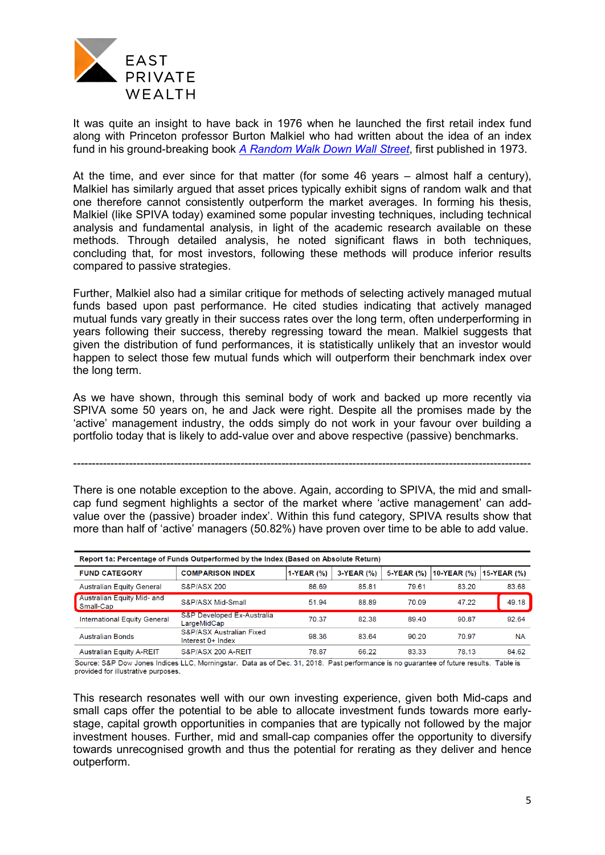

It was quite an insight to have back in 1976 when he launched the first retail index fund along with Princeton professor Burton Malkiel who had written about the idea of an index fund in his ground-breaking book *[A Random Walk Down Wall Street](https://en.wikipedia.org/wiki/A_Random_Walk_Down_Wall_Street)*, first published in 1973.

At the time, and ever since for that matter (for some 46 years – almost half a century), Malkiel has similarly argued that asset prices typically exhibit signs of random walk and that one therefore cannot consistently outperform the market averages. In forming his thesis, Malkiel (like SPIVA today) examined some popular investing techniques, including technical analysis and fundamental analysis, in light of the academic research available on these methods. Through detailed analysis, he noted significant flaws in both techniques, concluding that, for most investors, following these methods will produce inferior results compared to passive strategies.

Further, Malkiel also had a similar critique for methods of selecting actively managed mutual funds based upon past performance. He cited studies indicating that actively managed mutual funds vary greatly in their success rates over the long term, often underperforming in years following their success, thereby regressing toward the mean. Malkiel suggests that given the distribution of fund performances, it is statistically unlikely that an investor would happen to select those few mutual funds which will outperform their benchmark index over the long term.

As we have shown, through this seminal body of work and backed up more recently via SPIVA some 50 years on, he and Jack were right. Despite all the promises made by the 'active' management industry, the odds simply do not work in your favour over building a portfolio today that is likely to add-value over and above respective (passive) benchmarks.

---------------------------------------------------------------------------------------------------------------------------

There is one notable exception to the above. Again, according to SPIVA, the mid and smallcap fund segment highlights a sector of the market where 'active management' can addvalue over the (passive) broader index'. Within this fund category, SPIVA results show that more than half of 'active' managers (50.82%) have proven over time to be able to add value.

| Report 1a: Percentage of Funds Outperformed by the Index (Based on Absolute Return) |                                               |              |            |            |             |             |  |  |  |  |
|-------------------------------------------------------------------------------------|-----------------------------------------------|--------------|------------|------------|-------------|-------------|--|--|--|--|
| <b>FUND CATEGORY</b>                                                                | <b>COMPARISON INDEX</b>                       | $1-YEAR (%)$ | 3-YEAR (%) | 5-YEAR (%) | 10-YEAR (%) | 15-YEAR (%) |  |  |  |  |
| <b>Australian Equity General</b>                                                    | <b>S&amp;P/ASX 200</b>                        | 86.69        | 85.81      | 79.61      | 83.20       | 83.68       |  |  |  |  |
| Australian Equity Mid- and<br>Small-Cap                                             | S&P/ASX Mid-Small                             | 51.94        | 88.89      | 70.09      | 47.22       | 49.18       |  |  |  |  |
| <b>International Equity General</b>                                                 | S&P Developed Ex-Australia<br>LargeMidCap     | 70.37        | 82.38      | 89.40      | 90.87       | 92.64       |  |  |  |  |
| <b>Australian Bonds</b>                                                             | S&P/ASX Australian Fixed<br>Interest 0+ Index | 98.36        | 83.64      | 90.20      | 70.97       | <b>NA</b>   |  |  |  |  |
| <b>Australian Equity A-REIT</b>                                                     | S&P/ASX 200 A-REIT                            | 78.87        | 66.22      | 83.33      | 78.13       | 84.62       |  |  |  |  |

Source: S&P Dow Jones Indices LLC, Morningstar. Data as of Dec. 31, 2018. Past performance is no guarantee of future results. Table is provided for illustrative purposes.

This research resonates well with our own investing experience, given both Mid-caps and small caps offer the potential to be able to allocate investment funds towards more earlystage, capital growth opportunities in companies that are typically not followed by the major investment houses. Further, mid and small-cap companies offer the opportunity to diversify towards unrecognised growth and thus the potential for rerating as they deliver and hence outperform.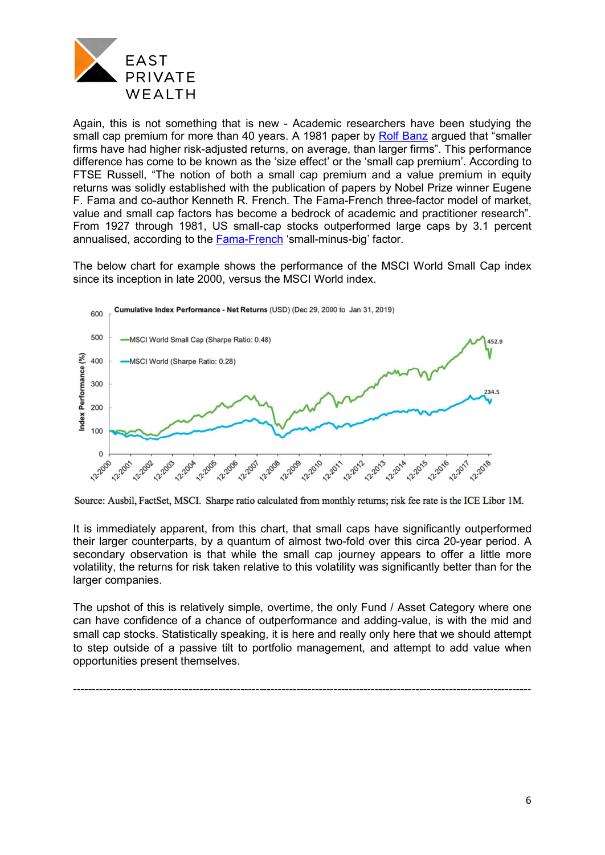

Again, this is not something that is new - Academic researchers have been studying the small cap premium for more than 40 years. A 1981 paper by [Rolf Banz](http://www.business.unr.edu/faculty/liuc/files/BADM742/Banz_sizeeffect_1980.pdf) argued that "smaller firms have had higher risk-adjusted returns, on average, than larger firms". This performance difference has come to be known as the 'size effect' or the 'small cap premium'. According to FTSE Russell, "The notion of both a small cap premium and a value premium in equity returns was solidly established with the publication of papers by Nobel Prize winner Eugene F. Fama and co-author Kenneth R. French. The Fama-French three-factor model of market, value and small cap factors has become a bedrock of academic and practitioner research". From 1927 through 1981, US small-cap stocks outperformed large caps by 3.1 percent annualised, according to the [Fama-French](http://mba.tuck.dartmouth.edu/bespeneckbo/default/AFA611-Eckbo%20web%20site/AFA611-S8C-FamaFrench-LuckvSkill-JF10.pdf) 'small-minus-big' factor.

The below chart for example shows the performance of the MSCI World Small Cap index since its inception in late 2000, versus the MSCI World index.



Source: Ausbil, FactSet, MSCI. Sharpe ratio calculated from monthly returns; risk fee rate is the ICE Libor 1M.

It is immediately apparent, from this chart, that small caps have significantly outperformed their larger counterparts, by a quantum of almost two-fold over this circa 20-year period. A secondary observation is that while the small cap journey appears to offer a little more volatility, the returns for risk taken relative to this volatility was significantly better than for the larger companies.

The upshot of this is relatively simple, overtime, the only Fund / Asset Category where one can have confidence of a chance of outperformance and adding-value, is with the mid and small cap stocks. Statistically speaking, it is here and really only here that we should attempt to step outside of a passive tilt to portfolio management, and attempt to add value when opportunities present themselves.

---------------------------------------------------------------------------------------------------------------------------